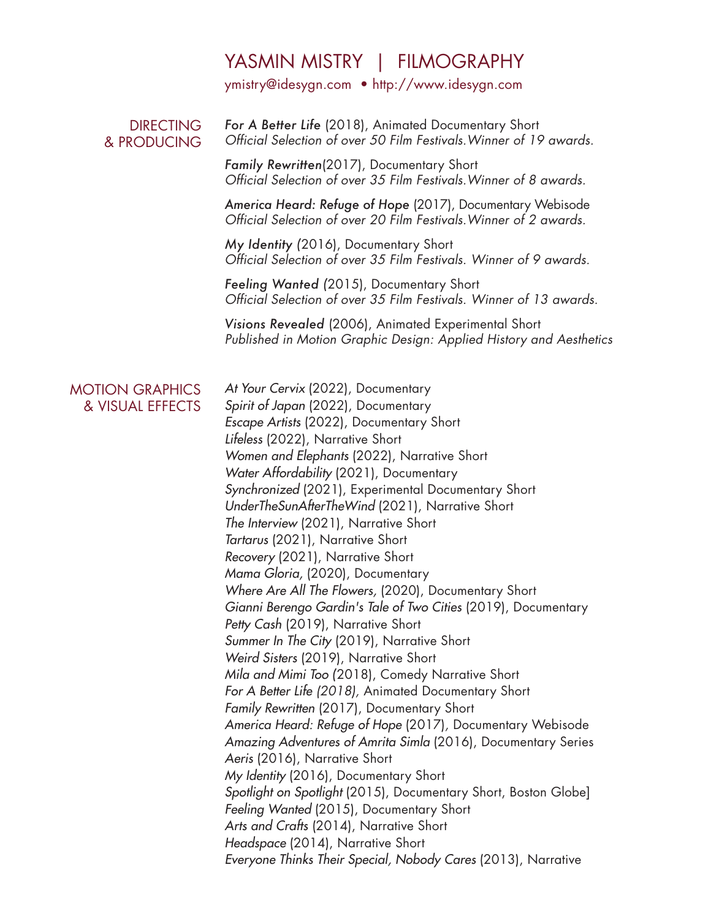## YASMIN MISTRY | FILMOGRAPHY

ymistry@idesygn.com • http://www.idesygn.com

## *For A Better Life* (2018), Animated Documentary Short *Official Selection of over 50 Film Festivals.Winner of 19 awards.* DIRECTING & PRODUCING

*Family Rewritten*(2017), Documentary Short *Official Selection of over 35 Film Festivals.Winner of 8 awards.*

*America Heard: Refuge of Hope* (2017), Documentary Webisode *Official Selection of over 20 Film Festivals.Winner of 2 awards.* 

*My Identity (*2016), Documentary Short *Official Selection of over 35 Film Festivals. Winner of 9 awards.* 

*Feeling Wanted (*2015), Documentary Short *Official Selection of over 35 Film Festivals. Winner of 13 awards.*

*Visions Revealed* (2006), Animated Experimental Short *Published in Motion Graphic Design: Applied History and Aesthetics*

## MOTION GRAPHICS & VISUAL EFFECTS

*At Your Cervix* (2022), Documentary *Spirit of Japan* (2022), Documentary *Escape Artists* (2022), Documentary Short *Lifeless* (2022), Narrative Short *Women and Elephants* (2022), Narrative Short *Water Affordability* (2021), Documentary *Synchronized* (2021), Experimental Documentary Short *UnderTheSunAfterTheWind* (2021), Narrative Short *The Interview* (2021), Narrative Short *Tartarus* (2021), Narrative Short *Recovery* (2021), Narrative Short *Mama Gloria,* (2020), Documentary *Where Are All The Flowers,* (2020), Documentary Short *Gianni Berengo Gardin's Tale of Two Cities* (2019), Documentary *Petty Cash* (2019), Narrative Short *Summer In The City* (2019), Narrative Short *Weird Sisters* (2019), Narrative Short *Mila and Mimi Too (*2018), Comedy Narrative Short *For A Better Life (2018),* Animated Documentary Short *Family Rewritten* (2017), Documentary Short *America Heard: Refuge of Hope* (2017)*,* Documentary Webisode *Amazing Adventures of Amrita Simla* (2016), Documentary Series *Aeris* (2016), Narrative Short *My Identity* (2016), Documentary Short *Spotlight on Spotlight* (2015), Documentary Short, Boston Globe] *Feeling Wanted* (2015), Documentary Short *Arts and Crafts* (2014), Narrative Short *Headspace* (2014), Narrative Short *Everyone Thinks Their Special, Nobody Cares* (2013), Narrative